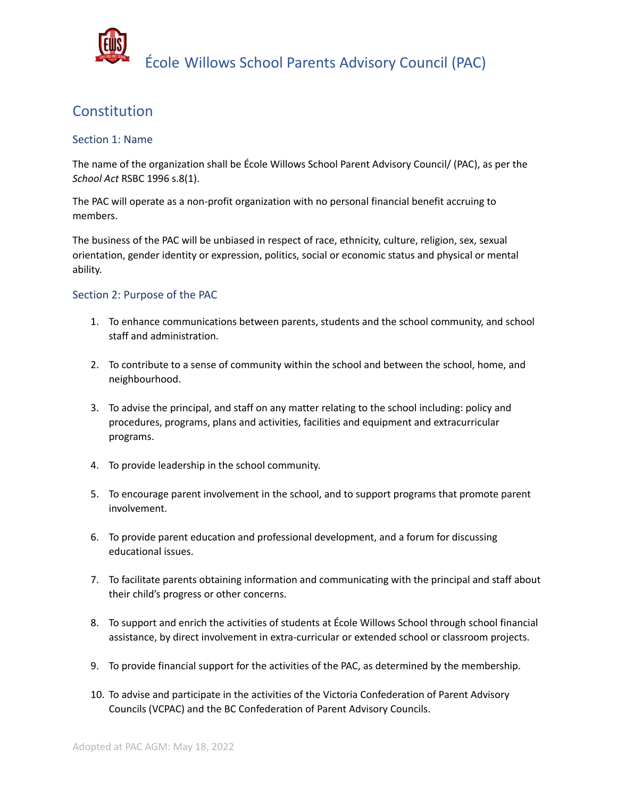

## Constitution

## Section 1: Name

The name of the organization shall be École Willows School Parent Advisory Council/ (PAC), as per the *School Act* RSBC 1996 s.8(1).

The PAC will operate as a non-profit organization with no personal financial benefit accruing to members.

The business of the PAC will be unbiased in respect of race, ethnicity, culture, religion, sex, sexual orientation, gender identity or expression, politics, social or economic status and physical or mental ability.

## Section 2: Purpose of the PAC

- 1. To enhance communications between parents, students and the school community, and school staff and administration.
- 2. To contribute to a sense of community within the school and between the school, home, and neighbourhood.
- 3. To advise the principal, and staff on any matter relating to the school including: policy and procedures, programs, plans and activities, facilities and equipment and extracurricular programs.
- 4. To provide leadership in the school community.
- 5. To encourage parent involvement in the school, and to support programs that promote parent involvement.
- 6. To provide parent education and professional development, and a forum for discussing educational issues.
- 7. To facilitate parents obtaining information and communicating with the principal and staff about their child's progress or other concerns.
- 8. To support and enrich the activities of students at École Willows School through school financial assistance, by direct involvement in extra-curricular or extended school or classroom projects.
- 9. To provide financial support for the activities of the PAC, as determined by the membership.
- 10. To advise and participate in the activities of the Victoria Confederation of Parent Advisory Councils (VCPAC) and the BC Confederation of Parent Advisory Councils.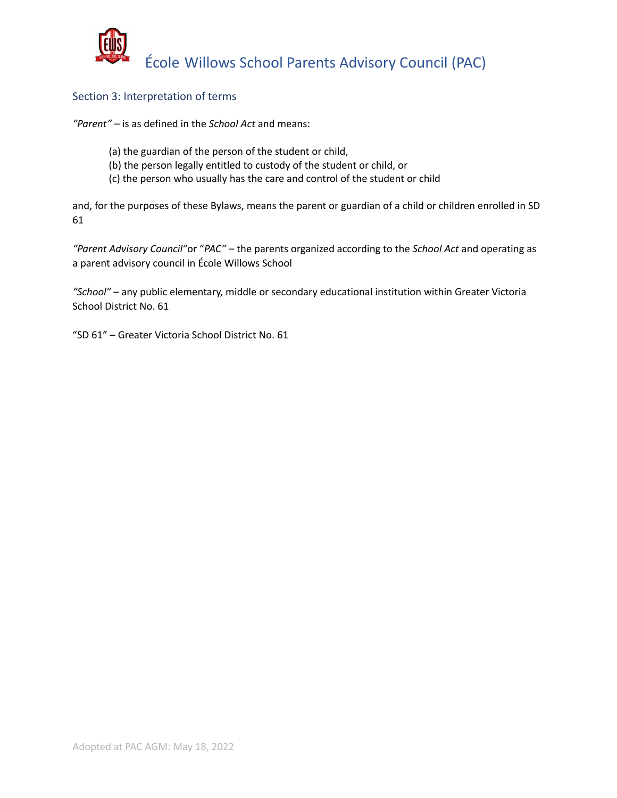

## Section 3: Interpretation of terms

*"Parent"* – is as defined in the *School Act* and means:

- (a) the guardian of the person of the student or child,
- (b) the person legally entitled to custody of the student or child, or
- (c) the person who usually has the care and control of the student or child

and, for the purposes of these Bylaws, means the parent or guardian of a child or children enrolled in SD 61

*"Parent Advisory Council"*or "*PAC"* – the parents organized according to the *School Act* and operating as a parent advisory council in École Willows School

*"School"* – any public elementary, middle or secondary educational institution within Greater Victoria School District No. 61

"SD 61" – Greater Victoria School District No. 61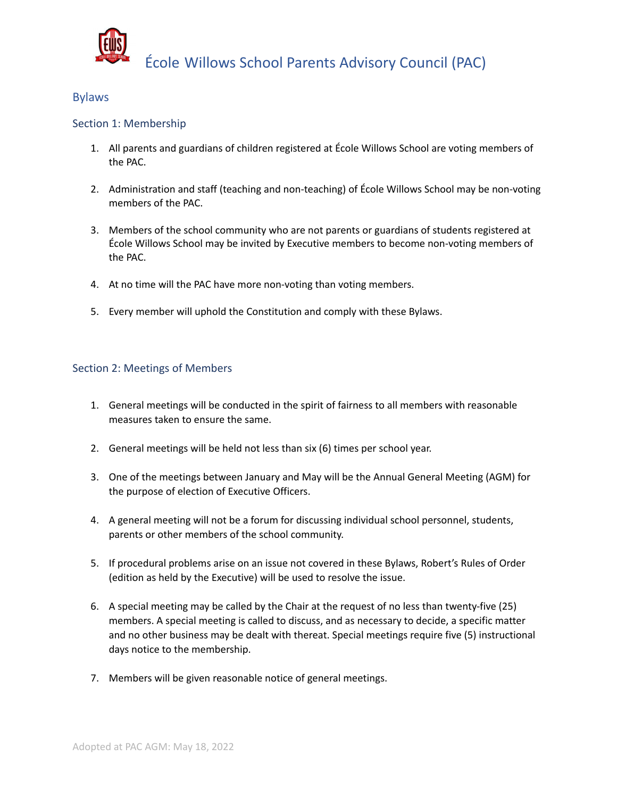

## Bylaws

## Section 1: Membership

- 1. All parents and guardians of children registered at École Willows School are voting members of the PAC.
- 2. Administration and staff (teaching and non-teaching) of École Willows School may be non-voting members of the PAC.
- 3. Members of the school community who are not parents or guardians of students registered at École Willows School may be invited by Executive members to become non-voting members of the PAC.
- 4. At no time will the PAC have more non-voting than voting members.
- 5. Every member will uphold the Constitution and comply with these Bylaws.

## Section 2: Meetings of Members

- 1. General meetings will be conducted in the spirit of fairness to all members with reasonable measures taken to ensure the same.
- 2. General meetings will be held not less than six (6) times per school year.
- 3. One of the meetings between January and May will be the Annual General Meeting (AGM) for the purpose of election of Executive Officers.
- 4. A general meeting will not be a forum for discussing individual school personnel, students, parents or other members of the school community.
- 5. If procedural problems arise on an issue not covered in these Bylaws, Robert's Rules of Order (edition as held by the Executive) will be used to resolve the issue.
- 6. A special meeting may be called by the Chair at the request of no less than twenty-five (25) members. A special meeting is called to discuss, and as necessary to decide, a specific matter and no other business may be dealt with thereat. Special meetings require five (5) instructional days notice to the membership.
- 7. Members will be given reasonable notice of general meetings.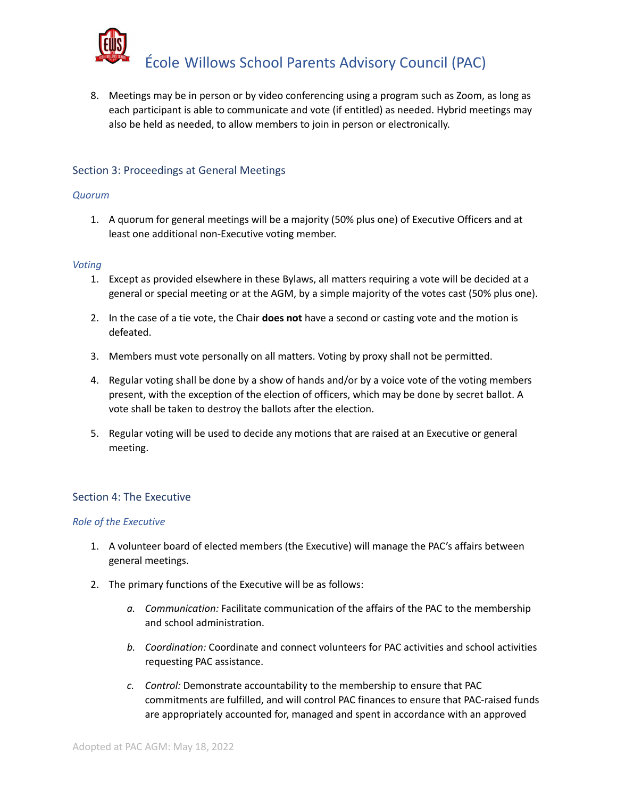

8. Meetings may be in person or by video conferencing using a program such as Zoom, as long as each participant is able to communicate and vote (if entitled) as needed. Hybrid meetings may also be held as needed, to allow members to join in person or electronically.

## Section 3: Proceedings at General Meetings

#### *Quorum*

1. A quorum for general meetings will be a majority (50% plus one) of Executive Officers and at least one additional non-Executive voting member.

#### *Voting*

- 1. Except as provided elsewhere in these Bylaws, all matters requiring a vote will be decided at a general or special meeting or at the AGM, by a simple majority of the votes cast (50% plus one).
- 2. In the case of a tie vote, the Chair **does not** have a second or casting vote and the motion is defeated.
- 3. Members must vote personally on all matters. Voting by proxy shall not be permitted.
- 4. Regular voting shall be done by a show of hands and/or by a voice vote of the voting members present, with the exception of the election of officers, which may be done by secret ballot. A vote shall be taken to destroy the ballots after the election.
- 5. Regular voting will be used to decide any motions that are raised at an Executive or general meeting.

## Section 4: The Executive

#### *Role of the Executive*

- 1. A volunteer board of elected members (the Executive) will manage the PAC's affairs between general meetings.
- 2. The primary functions of the Executive will be as follows:
	- *a. Communication:* Facilitate communication of the affairs of the PAC to the membership and school administration.
	- *b. Coordination:* Coordinate and connect volunteers for PAC activities and school activities requesting PAC assistance.
	- *c. Control:* Demonstrate accountability to the membership to ensure that PAC commitments are fulfilled, and will control PAC finances to ensure that PAC-raised funds are appropriately accounted for, managed and spent in accordance with an approved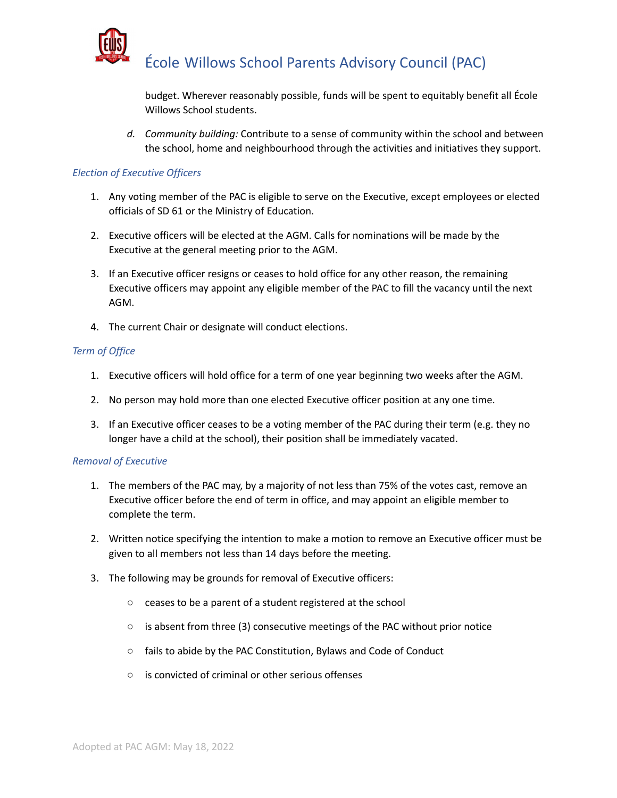

budget. Wherever reasonably possible, funds will be spent to equitably benefit all École Willows School students.

*d. Community building:* Contribute to a sense of community within the school and between the school, home and neighbourhood through the activities and initiatives they support.

#### *Election of Executive Officers*

- 1. Any voting member of the PAC is eligible to serve on the Executive, except employees or elected officials of SD 61 or the Ministry of Education.
- 2. Executive officers will be elected at the AGM. Calls for nominations will be made by the Executive at the general meeting prior to the AGM.
- 3. If an Executive officer resigns or ceases to hold office for any other reason, the remaining Executive officers may appoint any eligible member of the PAC to fill the vacancy until the next AGM.
- 4. The current Chair or designate will conduct elections.

#### *Term of Office*

- 1. Executive officers will hold office for a term of one year beginning two weeks after the AGM.
- 2. No person may hold more than one elected Executive officer position at any one time.
- 3. If an Executive officer ceases to be a voting member of the PAC during their term (e.g. they no longer have a child at the school), their position shall be immediately vacated.

#### *Removal of Executive*

- 1. The members of the PAC may, by a majority of not less than 75% of the votes cast, remove an Executive officer before the end of term in office, and may appoint an eligible member to complete the term.
- 2. Written notice specifying the intention to make a motion to remove an Executive officer must be given to all members not less than 14 days before the meeting.
- 3. The following may be grounds for removal of Executive officers:
	- ceases to be a parent of a student registered at the school
	- is absent from three (3) consecutive meetings of the PAC without prior notice
	- fails to abide by the PAC Constitution, Bylaws and Code of Conduct
	- is convicted of criminal or other serious offenses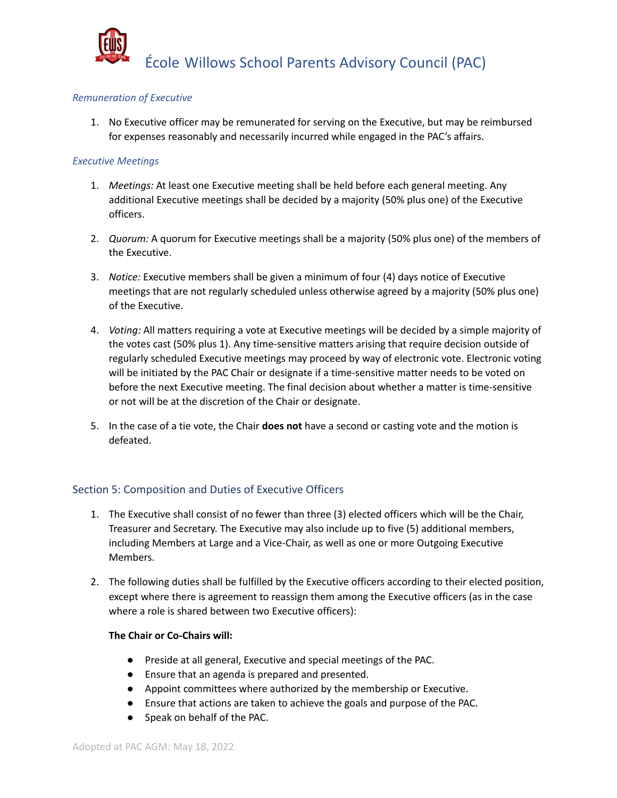

## *Remuneration of Executive*

1. No Executive officer may be remunerated for serving on the Executive, but may be reimbursed for expenses reasonably and necessarily incurred while engaged in the PAC's affairs.

## *Executive Meetings*

- 1. *Meetings:* At least one Executive meeting shall be held before each general meeting. Any additional Executive meetings shall be decided by a majority (50% plus one) of the Executive officers.
- 2. *Quorum:* A quorum for Executive meetings shall be a majority (50% plus one) of the members of the Executive.
- 3. *Notice:* Executive members shall be given a minimum of four (4) days notice of Executive meetings that are not regularly scheduled unless otherwise agreed by a majority (50% plus one) of the Executive.
- 4. *Voting:* All matters requiring a vote at Executive meetings will be decided by a simple majority of the votes cast (50% plus 1). Any time-sensitive matters arising that require decision outside of regularly scheduled Executive meetings may proceed by way of electronic vote. Electronic voting will be initiated by the PAC Chair or designate if a time-sensitive matter needs to be voted on before the next Executive meeting. The final decision about whether a matter is time-sensitive or not will be at the discretion of the Chair or designate.
- 5. In the case of a tie vote, the Chair **does not** have a second or casting vote and the motion is defeated.

## Section 5: Composition and Duties of Executive Officers

- 1. The Executive shall consist of no fewer than three (3) elected officers which will be the Chair, Treasurer and Secretary. The Executive may also include up to five (5) additional members, including Members at Large and a Vice-Chair, as well as one or more Outgoing Executive Members.
- 2. The following duties shall be fulfilled by the Executive officers according to their elected position, except where there is agreement to reassign them among the Executive officers (as in the case where a role is shared between two Executive officers):

## **The Chair or Co-Chairs will:**

- Preside at all general, Executive and special meetings of the PAC.
- Ensure that an agenda is prepared and presented.
- Appoint committees where authorized by the membership or Executive.
- Ensure that actions are taken to achieve the goals and purpose of the PAC.
- Speak on behalf of the PAC.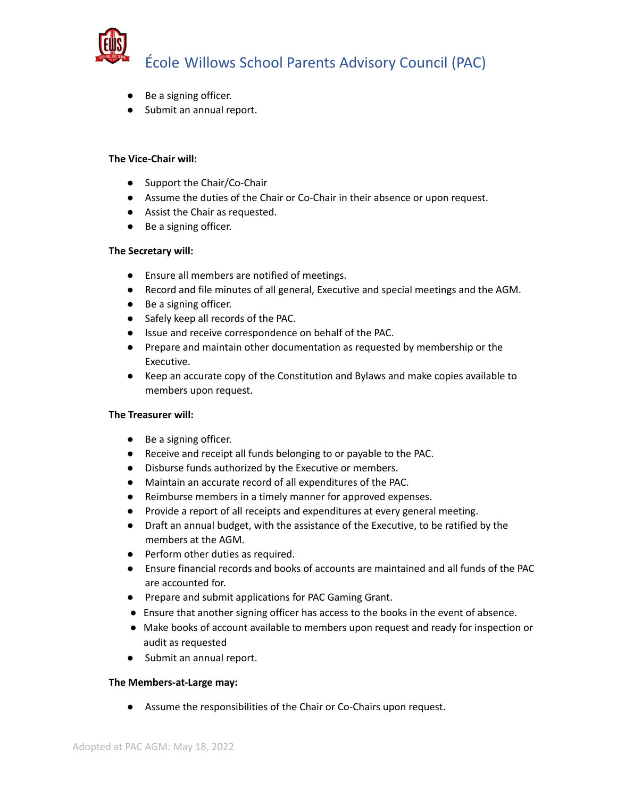

- Be a signing officer.
- Submit an annual report.

## **The Vice-Chair will:**

- Support the Chair/Co-Chair
- Assume the duties of the Chair or Co-Chair in their absence or upon request.
- Assist the Chair as requested.
- Be a signing officer.

#### **The Secretary will:**

- Ensure all members are notified of meetings.
- Record and file minutes of all general, Executive and special meetings and the AGM.
- Be a signing officer.
- Safely keep all records of the PAC.
- Issue and receive correspondence on behalf of the PAC.
- Prepare and maintain other documentation as requested by membership or the Executive.
- Keep an accurate copy of the Constitution and Bylaws and make copies available to members upon request.

## **The Treasurer will:**

- Be a signing officer.
- Receive and receipt all funds belonging to or payable to the PAC.
- Disburse funds authorized by the Executive or members.
- Maintain an accurate record of all expenditures of the PAC.
- Reimburse members in a timely manner for approved expenses.
- Provide a report of all receipts and expenditures at every general meeting.
- Draft an annual budget, with the assistance of the Executive, to be ratified by the members at the AGM.
- Perform other duties as required.
- Ensure financial records and books of accounts are maintained and all funds of the PAC are accounted for.
- Prepare and submit applications for PAC Gaming Grant.
- Ensure that another signing officer has access to the books in the event of absence.
- Make books of account available to members upon request and ready for inspection or audit as requested
- Submit an annual report.

## **The Members-at-Large may:**

● Assume the responsibilities of the Chair or Co-Chairs upon request.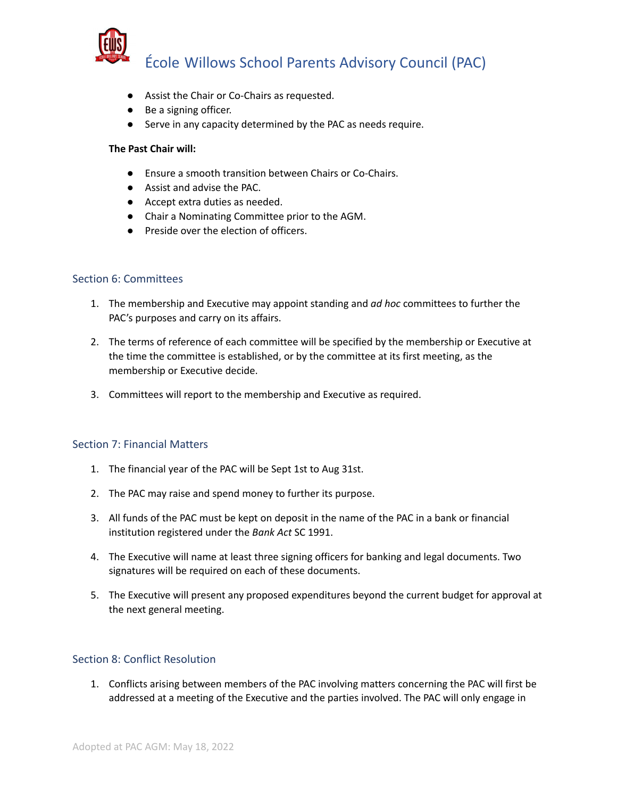

- Assist the Chair or Co-Chairs as requested.
- Be a signing officer.
- Serve in any capacity determined by the PAC as needs require.

## **The Past Chair will:**

- Ensure a smooth transition between Chairs or Co-Chairs.
- Assist and advise the PAC.
- Accept extra duties as needed.
- Chair a Nominating Committee prior to the AGM.
- Preside over the election of officers.

## Section 6: Committees

- 1. The membership and Executive may appoint standing and *ad hoc* committees to further the PAC's purposes and carry on its affairs.
- 2. The terms of reference of each committee will be specified by the membership or Executive at the time the committee is established, or by the committee at its first meeting, as the membership or Executive decide.
- 3. Committees will report to the membership and Executive as required.

## Section 7: Financial Matters

- 1. The financial year of the PAC will be Sept 1st to Aug 31st.
- 2. The PAC may raise and spend money to further its purpose.
- 3. All funds of the PAC must be kept on deposit in the name of the PAC in a bank or financial institution registered under the *Bank Act* SC 1991.
- 4. The Executive will name at least three signing officers for banking and legal documents. Two signatures will be required on each of these documents.
- 5. The Executive will present any proposed expenditures beyond the current budget for approval at the next general meeting.

## Section 8: Conflict Resolution

1. Conflicts arising between members of the PAC involving matters concerning the PAC will first be addressed at a meeting of the Executive and the parties involved. The PAC will only engage in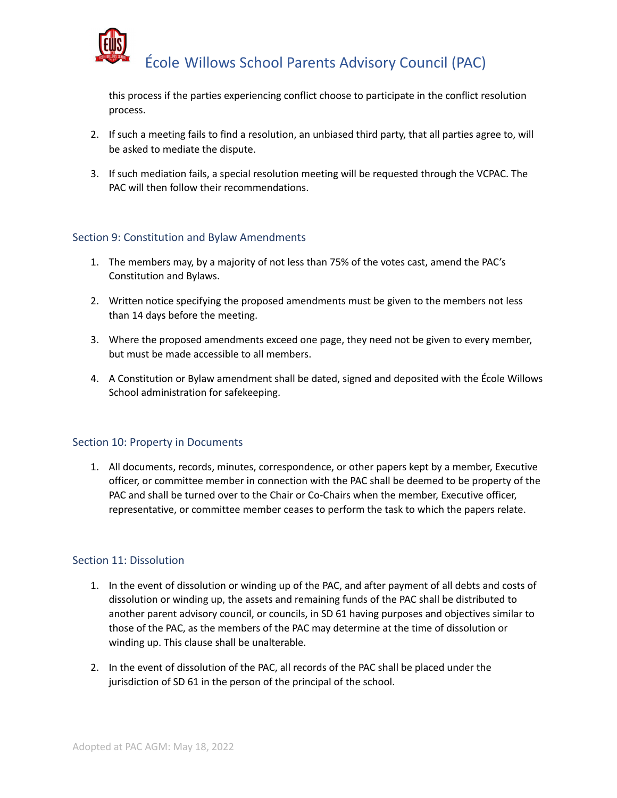

this process if the parties experiencing conflict choose to participate in the conflict resolution process.

- 2. If such a meeting fails to find a resolution, an unbiased third party, that all parties agree to, will be asked to mediate the dispute.
- 3. If such mediation fails, a special resolution meeting will be requested through the VCPAC. The PAC will then follow their recommendations.

## Section 9: Constitution and Bylaw Amendments

- 1. The members may, by a majority of not less than 75% of the votes cast, amend the PAC's Constitution and Bylaws.
- 2. Written notice specifying the proposed amendments must be given to the members not less than 14 days before the meeting.
- 3. Where the proposed amendments exceed one page, they need not be given to every member, but must be made accessible to all members.
- 4. A Constitution or Bylaw amendment shall be dated, signed and deposited with the École Willows School administration for safekeeping.

## Section 10: Property in Documents

1. All documents, records, minutes, correspondence, or other papers kept by a member, Executive officer, or committee member in connection with the PAC shall be deemed to be property of the PAC and shall be turned over to the Chair or Co-Chairs when the member, Executive officer, representative, or committee member ceases to perform the task to which the papers relate.

## Section 11: Dissolution

- 1. In the event of dissolution or winding up of the PAC, and after payment of all debts and costs of dissolution or winding up, the assets and remaining funds of the PAC shall be distributed to another parent advisory council, or councils, in SD 61 having purposes and objectives similar to those of the PAC, as the members of the PAC may determine at the time of dissolution or winding up. This clause shall be unalterable.
- 2. In the event of dissolution of the PAC, all records of the PAC shall be placed under the jurisdiction of SD 61 in the person of the principal of the school.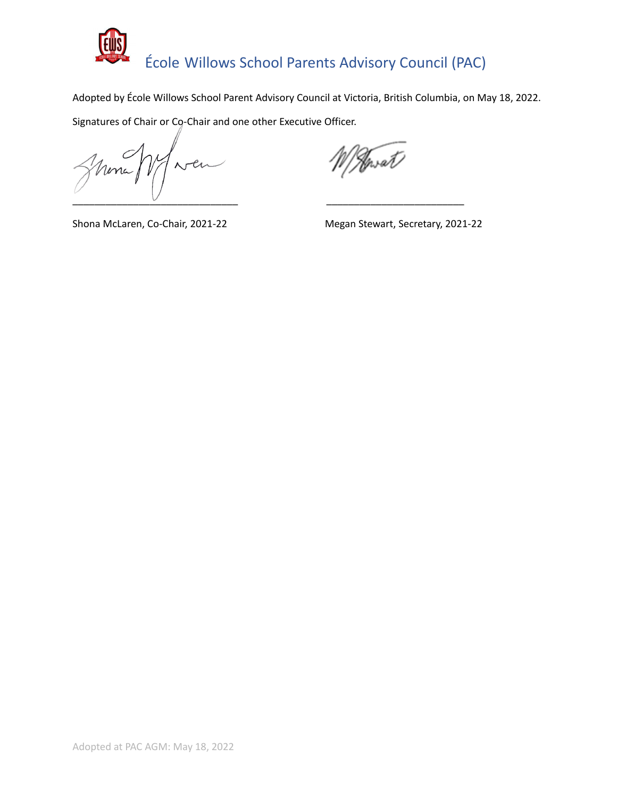

Adopted by École Willows School Parent Advisory Council at Victoria, British Columbia, on May 18, 2022.

Signatures of Chair or Co-Chair and one other Executive Officer.

Uni \_\_\_\_\_\_\_\_\_\_\_\_\_\_\_\_\_\_\_\_\_\_\_\_\_\_\_\_\_\_ \_\_\_\_\_\_\_\_\_\_\_\_\_\_\_\_\_\_\_\_\_\_\_\_\_

Novat /

Shona McLaren, Co-Chair, 2021-22 Megan Stewart, Secretary, 2021-22